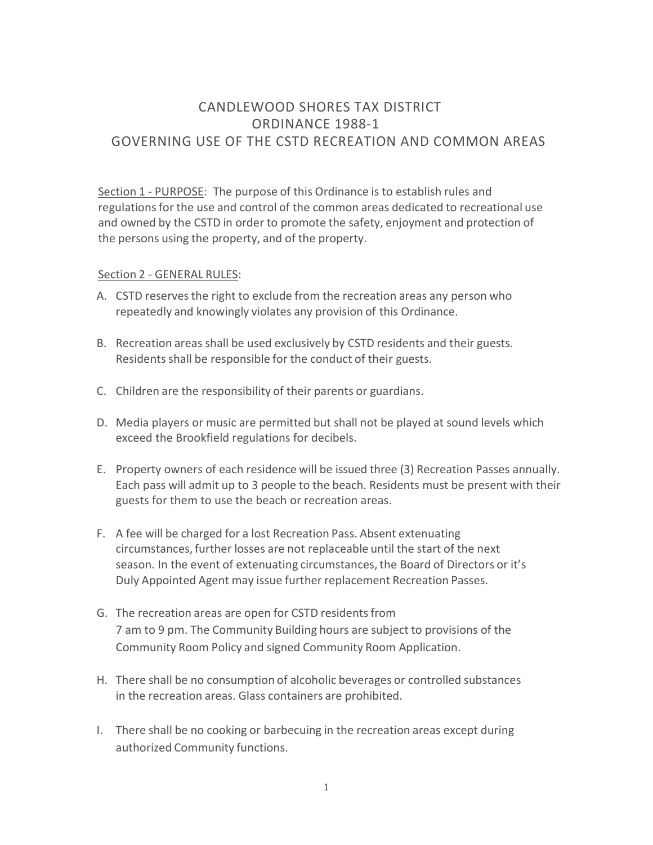# CANDLEWOOD SHORES TAX DISTRICT ORDINANCE 1988-1 GOVERNING USE OF THE CSTD RECREATION AND COMMON AREAS

Section 1 - PURPOSE: The purpose of this Ordinance is to establish rules and regulations for the use and control of the common areas dedicated to recreational use and owned by the CSTD in order to promote the safety, enjoyment and protection of the persons using the property, and of the property.

#### Section 2 - GENERAL RULES:

- A. CSTD reserves the right to exclude from the recreation areas any person who repeatedly and knowingly violates any provision of this Ordinance.
- B. Recreation areas shall be used exclusively by CSTD residents and their guests. Residents shall be responsible for the conduct of their guests.
- C. Children are the responsibility of their parents or guardians.
- D. Media players or music are permitted but shall not be played at sound levels which exceed the Brookfield regulations for decibels.
- E. Property owners of each residence will be issued three (3) Recreation Passes annually. Each pass will admit up to 3 people to the beach. Residents must be present with their guests for them to use the beach or recreation areas.
- F. A fee will be charged for a lost Recreation Pass. Absent extenuating circumstances, further losses are not replaceable until the start of the next season. In the event of extenuating circumstances, the Board of Directors or it's Duly Appointed Agent may issue further replacement Recreation Passes.
- G. The recreation areas are open for CSTD residents from 7 am to 9 pm. The Community Building hours are subject to provisions of the Community Room Policy and signed Community Room Application.
- H. There shall be no consumption of alcoholic beverages or controlled substances in the recreation areas. Glass containers are prohibited.
- I. There shall be no cooking or barbecuing in the recreation areas except during authorized Community functions.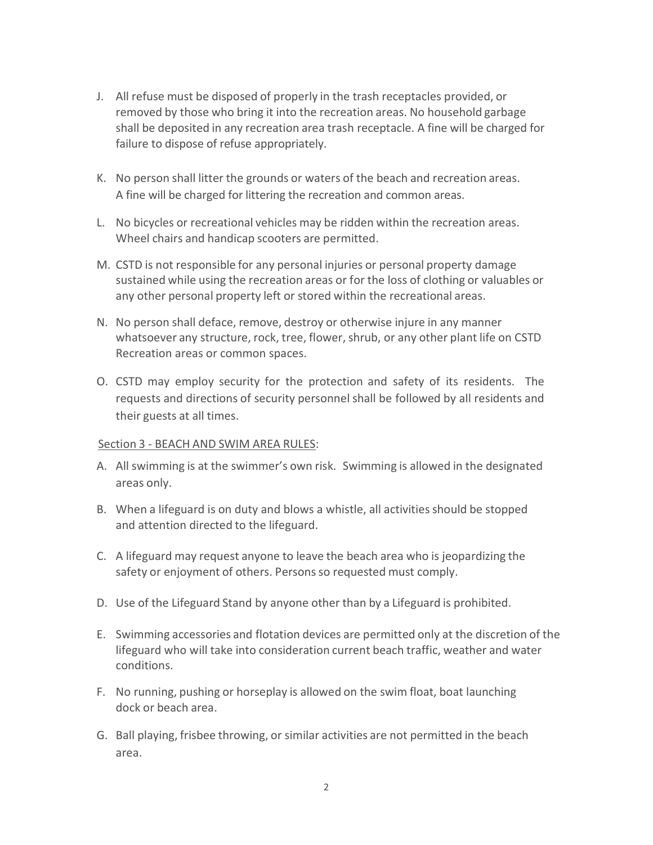- J. All refuse must be disposed of properly in the trash receptacles provided, or removed by those who bring it into the recreation areas. No household garbage shall be deposited in any recreation area trash receptacle. A fine will be charged for failure to dispose of refuse appropriately.
- K. No person shall litter the grounds or waters of the beach and recreation areas. A fine will be charged for littering the recreation and common areas.
- L. No bicycles or recreational vehicles may be ridden within the recreation areas. Wheel chairs and handicap scooters are permitted.
- M. CSTD is not responsible for any personal injuries or personal property damage sustained while using the recreation areas or for the loss of clothing or valuables or any other personal property left or stored within the recreational areas.
- N. No person shall deface, remove, destroy or otherwise injure in any manner whatsoever any structure, rock, tree, flower, shrub, or any other plant life on CSTD Recreation areas or common spaces.
- O. CSTD may employ security for the protection and safety of its residents. The requests and directions of security personnel shall be followed by all residents and their guests at all times.

## Section 3 - BEACH AND SWIM AREA RULES:

- A. All swimming is at the swimmer's own risk. Swimming is allowed in the designated areas only.
- B. When a lifeguard is on duty and blows a whistle, all activities should be stopped and attention directed to the lifeguard.
- C. A lifeguard may request anyone to leave the beach area who is jeopardizing the safety or enjoyment of others. Persons so requested must comply.
- D. Use of the Lifeguard Stand by anyone other than by a Lifeguard is prohibited.
- E. Swimming accessories and flotation devices are permitted only at the discretion of the lifeguard who will take into consideration current beach traffic, weather and water conditions.
- F. No running, pushing or horseplay is allowed on the swim float, boat launching dock or beach area.
- G. Ball playing, frisbee throwing, or similar activities are not permitted in the beach area.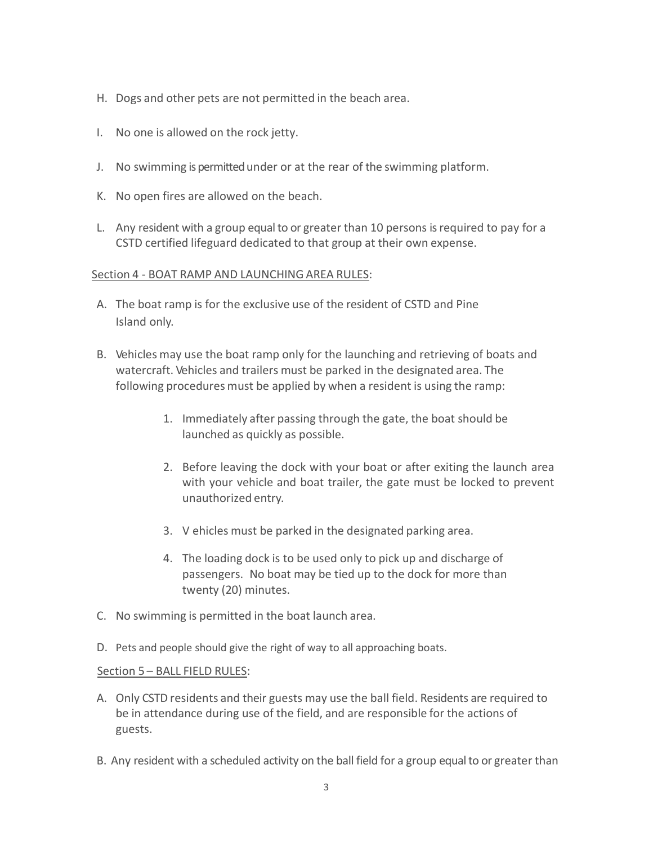- H. Dogs and other pets are not permitted in the beach area.
- I. No one is allowed on the rock jetty.
- J. No swimming is permitted under or at the rear of the swimming platform.
- K. No open fires are allowed on the beach.
- L. Any resident with a group equal to or greater than 10 persons is required to pay for a CSTD certified lifeguard dedicated to that group at their own expense.

#### Section 4 - BOAT RAMP AND LAUNCHING AREA RULES:

- A. The boat ramp is for the exclusive use of the resident of CSTD and Pine Island only.
- B. Vehicles may use the boat ramp only for the launching and retrieving of boats and watercraft. Vehicles and trailers must be parked in the designated area. The following procedures must be applied by when a resident is using the ramp:
	- 1. Immediately after passing through the gate, the boat should be launched as quickly as possible.
	- 2. Before leaving the dock with your boat or after exiting the launch area with your vehicle and boat trailer, the gate must be locked to prevent unauthorized entry.
	- 3. V ehicles must be parked in the designated parking area.
	- 4. The loading dock is to be used only to pick up and discharge of passengers. No boat may be tied up to the dock for more than twenty (20) minutes.
- C. No swimming is permitted in the boat launch area.
- D. Pets and people should give the right of way to all approaching boats.

## Section 5 – BALL FIELD RULES:

- A. Only CSTD residents and their guests may use the ball field. Residents are required to be in attendance during use of the field, and are responsible for the actions of guests.
- B. Any resident with a scheduled activity on the ball field for a group equal to or greater than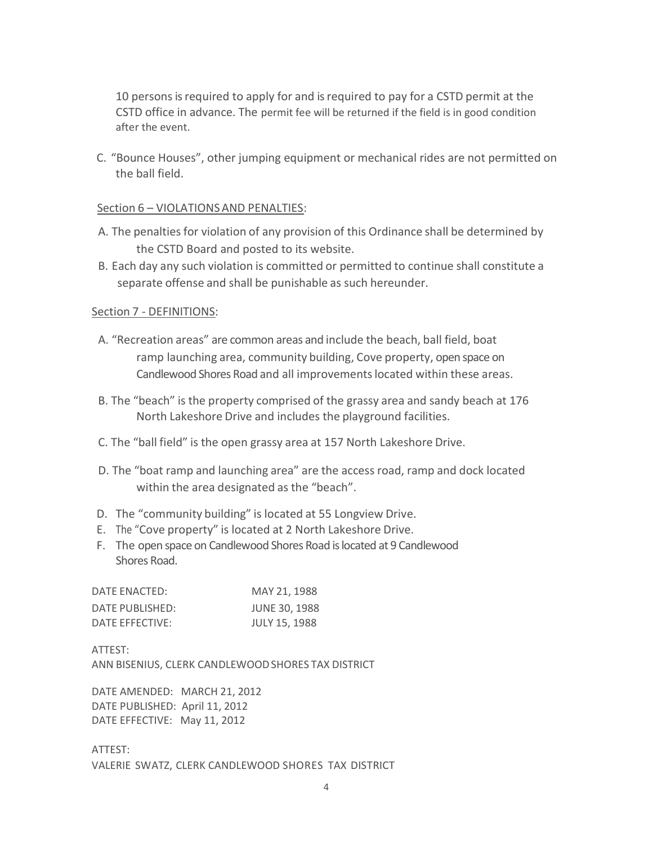10 persons is required to apply for and is required to pay for a CSTD permit at the CSTD office in advance. The permit fee will be returned if the field is in good condition after the event.

C. "Bounce Houses", other jumping equipment or mechanical rides are not permitted on the ball field.

### Section 6 – VIOLATIONS AND PENALTIES:

- A. The penalties for violation of any provision of this Ordinance shall be determined by the CSTD Board and posted to its website.
- B. Each day any such violation is committed or permitted to continue shall constitute a separate offense and shall be punishable as such hereunder.

## Section 7 - DEFINITIONS:

- A. "Recreation areas" are common areas and include the beach, ball field, boat ramp launching area, community building, Cove property, open space on Candlewood Shores Road and all improvements located within these areas.
- B. The "beach" is the property comprised of the grassy area and sandy beach at 176 North Lakeshore Drive and includes the playground facilities.
- C. The "ball field" is the open grassy area at 157 North Lakeshore Drive.
- D. The "boat ramp and launching area" are the access road, ramp and dock located within the area designated as the "beach".
- D. The "community building" is located at 55 Longview Drive.
- E. The "Cove property" is located at 2 North Lakeshore Drive.
- F. The open space on Candlewood Shores Road is located at 9 Candlewood Shores Road.

| DATE ENACTED:   | MAY 21, 1988         |
|-----------------|----------------------|
| DATE PUBLISHED: | <b>JUNE 30, 1988</b> |
| DATE EFFECTIVE: | <b>JULY 15, 1988</b> |

ATTEST: ANN BISENIUS, CLERK CANDLEWOOD SHORES TAX DISTRICT

DATE AMENDED: MARCH 21, 2012 DATE PUBLISHED: April 11, 2012 DATE EFFECTIVE: May 11, 2012

ATTEST: VALERIE SWATZ, CLERK CANDLEWOOD SHORES TAX DISTRICT